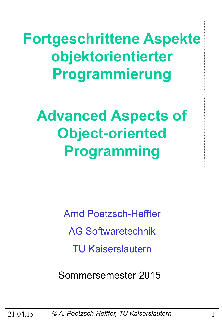**Fortgeschrittene Aspekte objektorientierter Programmierung** 

**Advanced Aspects of Object-oriented Programming** 

> Arnd Poetzsch-Heffter AG Softwaretechnik TU Kaiserslautern

Sommersemester 2015

21.04.15 *© A. Poetzsch-Heffter, TU Kaiserslautern* 1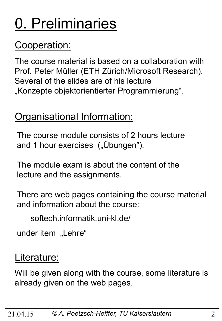# 0. Preliminaries

### Cooperation:

The course material is based on a collaboration with Prof. Peter Müller (ETH Zürich/Microsoft Research). Several of the slides are of his lecture "Konzepte objektorientierter Programmierung".

### Organisational Information:

The course module consists of 2 hours lecture and 1 hour exercises ("Übungen").

The module exam is about the content of the lecture and the assignments.

There are web pages containing the course material and information about the course:

softech.informatik.uni-kl.de/

under item "Lehre"

#### Literature:

Will be given along with the course, some literature is already given on the web pages.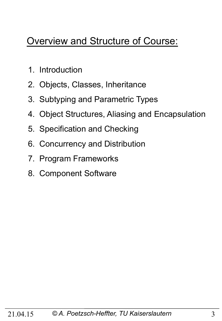### Overview and Structure of Course:

- 1. Introduction
- 2. Objects, Classes, Inheritance
- 3. Subtyping and Parametric Types
- 4. Object Structures, Aliasing and Encapsulation
- 5. Specification and Checking
- 6. Concurrency and Distribution
- 7. Program Frameworks
- 8. Component Software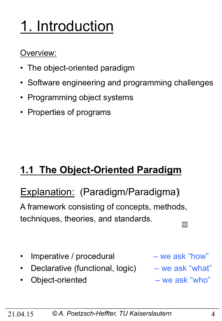# 1. Introduction

#### Overview:

- The object-oriented paradigm
- Software engineering and programming challenges
- Programming object systems
- Properties of programs

### **1.1 The Object-Oriented Paradigm**

### Explanation: (Paradigm/Paradigma)

A framework consisting of concepts, methods, techniques, theories, and standards.

- Imperative / procedural we ask "how"
- Declarative (functional, logic) we ask "what"
- Object-oriented we ask "who"

- 
-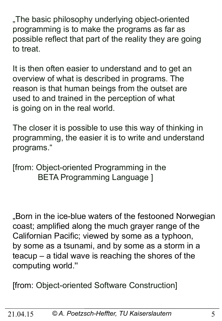"The basic philosophy underlying object-oriented programming is to make the programs as far as possible reflect that part of the reality they are going to treat.

It is then often easier to understand and to get an overview of what is described in programs. The reason is that human beings from the outset are used to and trained in the perception of what is going on in the real world.

The closer it is possible to use this way of thinking in programming, the easier it is to write and understand programs."

[from: Object-oriented Programming in the BETA Programming Language ]

"Born in the ice-blue waters of the festooned Norwegian coast; amplified along the much grayer range of the Californian Pacific; viewed by some as a typhoon, by some as a tsunami, and by some as a storm in a teacup – a tidal wave is reaching the shores of the computing world.''

[from: Object-oriented Software Construction]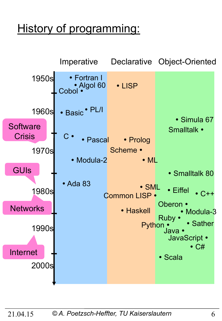## History of programming:

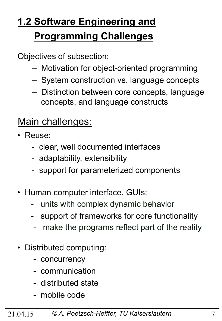## **1.2 Software Engineering and Programming Challenges**

Objectives of subsection:

- Motivation for object-oriented programming
- System construction vs. language concepts
- Distinction between core concepts, language concepts, and language constructs

#### Main challenges:

- Reuse:
	- clear, well documented interfaces
	- adaptability, extensibility
	- support for parameterized components
- Human computer interface, GUIs:
	- units with complex dynamic behavior
	- support of frameworks for core functionality
	- make the programs reflect part of the reality
- Distributed computing:
	- concurrency
	- communication
	- distributed state
	- mobile code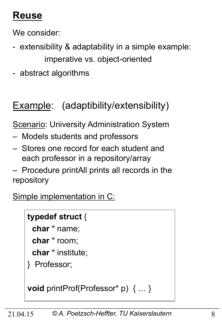### **Reuse**

We consider:

- extensibility & adaptability in a simple example: imperative vs. object-oriented
- abstract algorithms

### Example: (adaptibility/extensibility)

**Scenario: University Administration System** 

- Models students and professors
- Stores one record for each student and each professor in a repository/array
- Procedure printAll prints all records in the repository

Simple implementation in C:

#### **typedef struct** {

**char** \* name;

**char** \* room;

**char** \* institute;

} Professor;

```
void printProf(Professor* p) { … }
```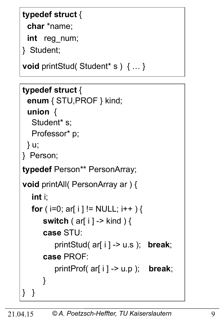#### **typedef struct** {

**char** \*name;

**int** reg\_num;

} Student;

} }

```
void printStud( Student* s ) { … }
```

```
typedef struct { 
  enum { STU,PROF } kind; 
  union { 
  Student* s;
   Professor* p; 
  } u; 
} Person; 
typedef Person** PersonArray; 
void printAll( PersonArray ar ) { 
   int i; 
  for ( i=0; ar[ i ] != NULL; i++ ) {
       switch ( ar[ i ] -> kind ) { 
       case STU: 
           printStud( ar[ i ] -> u.s ); break; 
       case PROF: 
           printProf( ar[ i ] -> u.p ); break; 
       }
```

```
21.04.15 © A. Poetzsch-Heffter, TU Kaiserslautern 9
```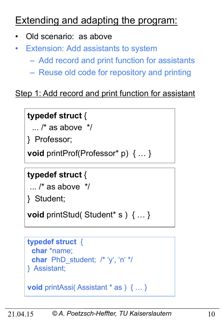### Extending and adapting the program:

- Old scenario: as above
- **Extension: Add assistants to system** 
	- Add record and print function for assistants
	- Reuse old code for repository and printing

#### Step 1: Add record and print function for assistant

#### **typedef struct** {

 $\ldots$  /\* as above  $\frac{*}{ }$ 

} Professor;

**void** printProf(Professor\* p) { … }

#### **typedef struct** {

```
\ldots /* as above \frac{*}{ }
```
} Student;

**void** printStud( Student\* s ) { … }

```
typedef struct { 
  char *name; 
  char PhD_student; /* 'y', 'n' */ 
} Assistant;
```

```
void printAssi( Assistant * as ) { … }
```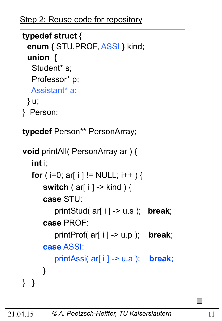```
typedef struct { 
  enum { STU,PROF, ASSI } kind; 
  union { 
  Student* s;
   Professor* p; 
   Assistant* a; 
  } u; 
} Person; 
typedef Person** PersonArray; 
void printAll( PersonArray ar ) { 
   int i; 
  for ( i=0; ar[ i ] != NULL; i++ ) {
       switch ( ar[ i ] -> kind ) { 
       case STU: 
           printStud( ar[ i ] -> u.s ); break; 
       case PROF: 
           printProf( ar[ i ] -> u.p ); break; 
       case ASSI: 
           printAssi( ar[ i ] -> u.a ); break; 
       } 
} }
```
 $\mathcal{L}_{\mathcal{A}}$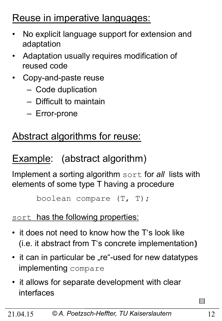### Reuse in imperative languages:

- No explicit language support for extension and adaptation
- Adaptation usually requires modification of reused code
- Copy-and-paste reuse
	- Code duplication
	- Difficult to maintain
	- Error-prone

### Abstract algorithms for reuse:

### Example: (abstract algorithm)

Implement a sorting algorithm sort for *all* lists with elements of some type T having a procedure

```
 boolean compare (T, T);
```
#### sort has the following properties:

- it does not need to know how the T's look like (i.e. it abstract from T's concrete implementation)
- it can in particular be "re"-used for new datatypes implementing compare
- it allows for separate development with clear interfaces

 $\mathcal{L}_{\mathcal{A}}$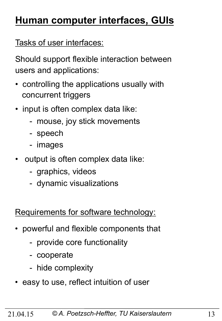### **Human computer interfaces, GUIs**

Tasks of user interfaces:

Should support flexible interaction between users and applications:

- controlling the applications usually with concurrent triggers
- input is often complex data like:
	- mouse, joy stick movements
	- speech
	- images
- output is often complex data like:
	- graphics, videos
	- dynamic visualizations

Requirements for software technology:

- powerful and flexible components that
	- provide core functionality
	- cooperate
	- hide complexity
- easy to use, reflect intuition of user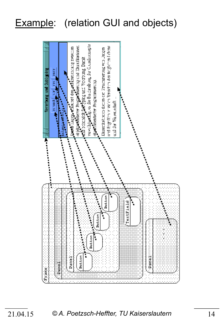### Example: (relation GUI and objects)

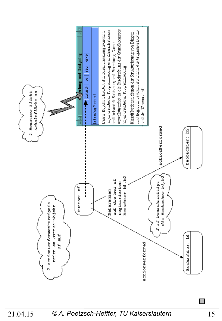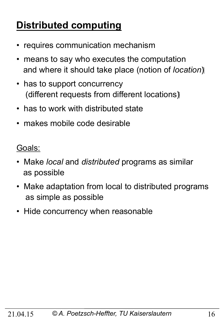### **Distributed computing**

- requires communication mechanism
- means to say who executes the computation and where it should take place (notion of *location*)
- has to support concurrency (different requests from different locations)
- has to work with distributed state
- makes mobile code desirable

Goals:

- Make *local* and *distributed* programs as similar as possible
- Make adaptation from local to distributed programs as simple as possible
- Hide concurrency when reasonable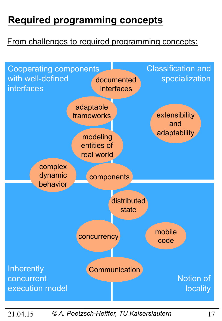### **Required programming concepts**

#### From challenges to required programming concepts:

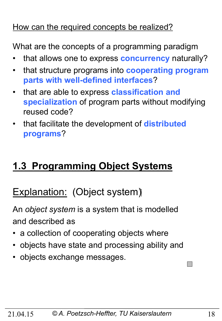#### How can the required concepts be realized?

What are the concepts of a programming paradigm

- that allows one to express **concurrency** naturally?
- that structure programs into **cooperating program parts with well-defined interfaces**?
- that are able to express **classification and specialization** of program parts without modifying reused code?
- that facilitate the development of **distributed programs**?

### **1.3 Programming Object Systems**

### Explanation: (Object system)

An *object system* is a system that is modelled and described as

- a collection of cooperating objects where
- objects have state and processing ability and
- objects exchange messages.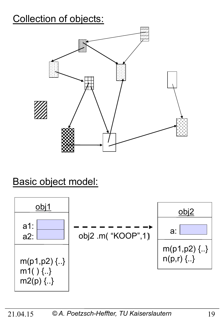### Collection of objects:



### Basic object model:

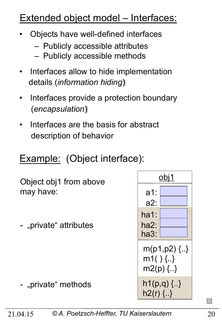### Extended object model – Interfaces:

- Objects have well-defined interfaces
	- Publicly accessible attributes
	- Publicly accessible methods
- Interfaces allow to hide implementation details (*information hiding*)
- Interfaces provide a protection boundary (*encapsulation*)
- Interfaces are the basis for abstract description of behavior

### Example: (Object interface):

Object obj1 from above may have:

- "private" attributes

- "private" methods



 $\mathcal{L}_{\mathcal{A}}$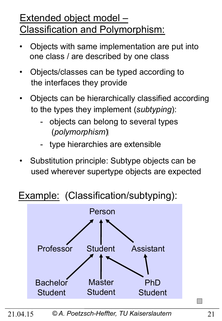### Extended object model – Classification and Polymorphism:

- Objects with same implementation are put into one class / are described by one class
- Objects/classes can be typed according to the interfaces they provide
- Objects can be hierarchically classified according to the types they implement (*subtyping*):
	- objects can belong to several types (*polymorphism* (
	- type hierarchies are extensible
- Substitution principle: Subtype objects can be used wherever supertype objects are expected

### Example: (Classification/subtyping):

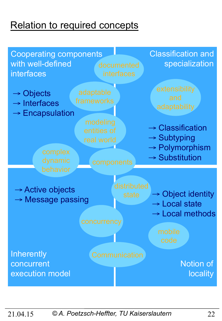### Relation to required concepts

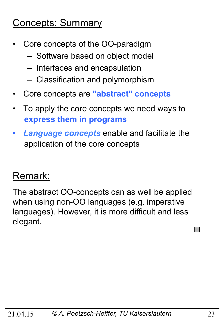### Concepts: Summary

- Core concepts of the OO-paradigm
	- Software based on object model
	- Interfaces and encapsulation
	- Classification and polymorphism
- Core concepts are **"abstract" concepts**
- To apply the core concepts we need ways to  **express them in programs**
- *Language concepts* enable and facilitate the application of the core concepts

### Remark:

The abstract OO-concepts can as well be applied when using non-OO languages (e.g. imperative languages). However, it is more difficult and less elegant.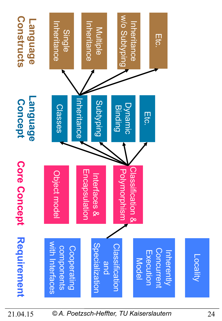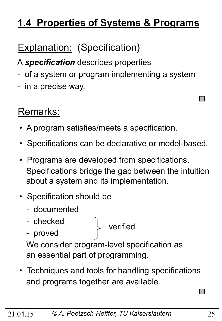### **1.4 Properties of Systems & Programs**

### **Explanation: (Specification)**

A *specification* describes properties

- of a system or program implementing a system
- in a precise way.

### Remarks:

- A program satisfies/meets a specification.
- Specifications can be declarative or model-based.
- Programs are developed from specifications. Specifications bridge the gap between the intuition about a system and its implementation.
- Specification should be
	- documented
	- checked
	- proved

verified

 We consider program-level specification as an essential part of programming.

• Techniques and tools for handling specifications and programs together are available.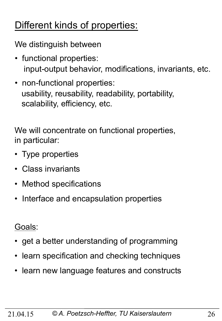### Different kinds of properties:

We distinguish between

- functional properties: input-output behavior, modifications, invariants, etc.
- non-functional properties: usability, reusability, readability, portability, scalability, efficiency, etc.

We will concentrate on functional properties, in particular:

- Type properties
- Class invariants
- Method specifications
- Interface and encapsulation properties

Goals:

- get a better understanding of programming
- learn specification and checking techniques
- learn new language features and constructs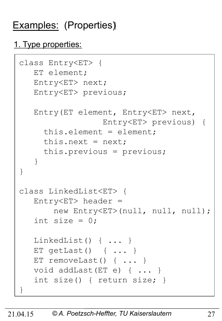### Examples: (Properties)

#### 1. Type properties:

```
class Entry<ET> { 
    ET element; 
    Entry<ET> next; 
    Entry<ET> previous; 
    Entry(ET element, Entry<ET> next, 
                    Entry<ET> previous) { 
      this.element = element; 
     this.next = next; this.previous = previous; 
    } 
} 
class LinkedList<ET> { 
   Entropy < ET header =
        new Entry<ET>(null, null, null); 
   int size = 0;
    LinkedList() { ... } 
    ET getLast() { ... } 
   ET removeLast() { ... }
    void addLast(ET e) { ... } 
    int size() { return size; } 
}
```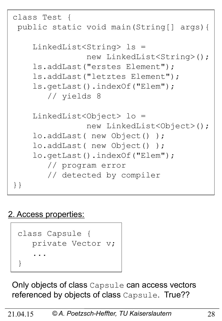```
class Test { 
  public static void main(String[] args){ 
     LinkedList<String> ls = 
                 new LinkedList<String>(); 
     ls.addLast("erstes Element"); 
     ls.addLast("letztes Element"); 
     ls.getLast().indexOf("Elem"); 
        // yields 8 
     LinkedList<Object> lo = 
                 new LinkedList<Object>(); 
     lo.addLast( new Object() ); 
     lo.addLast( new Object() ); 
     lo.getLast().indexOf("Elem"); 
        // program error 
        // detected by compiler 
}}
```
#### 2. Access properties:



Only objects of class Capsule can access vectors referenced by objects of class Capsule. True??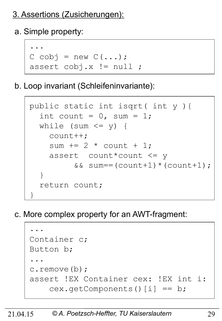#### 3. Assertions (Zusicherungen):

a. Simple property:



b. Loop invariant (Schleifeninvariante):

```
 public static int isqrt( int y ){ 
     int count = 0, sum = 1;
     while (sum \leq y) {
        count++; 
       sum += 2 * count + 1; assert count*count <= y 
            &\&\; sum==(count+1)*(count+1); } 
      return count; 
 }
```
c. More complex property for an AWT-fragment:

 ... Container c; Button b; ... c.remove(b); assert !EX Container cex: !EX int i: cex.getComponents()[i] == b;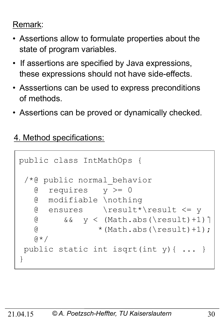#### Remark:

- Assertions allow to formulate properties about the state of program variables.
- If assertions are specified by Java expressions, these expressions should not have side-effects.
- Asssertions can be used to express preconditions of methods.
- Assertions can be proved or dynamically checked.
- 4. Method specifications:

```
public class IntMathOps { 
  /*@ public normal_behavior 
   \theta requires y \ge 0 @ modifiable \nothing 
    @ ensures \result*\result <= y 
   \alpha & \alpha y < (Math.abs(\result)+1) [
   \textcircled{t} * (Math.abs(\result)+1);
   \theta \star / public static int isqrt(int y){ ... } 
}
```